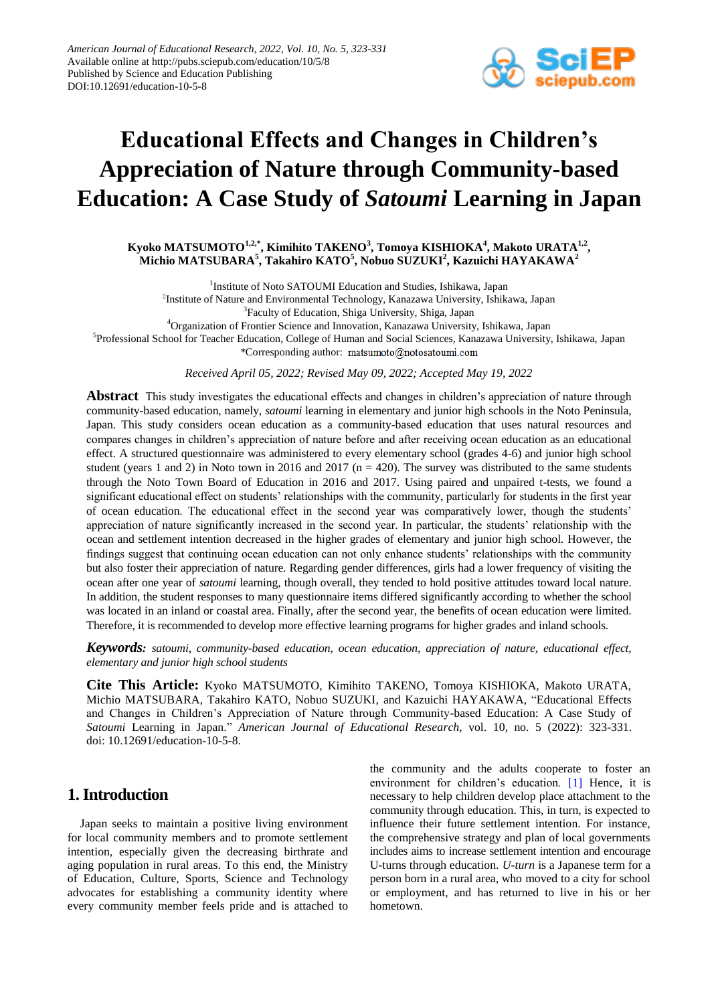

# **Educational Effects and Changes in Children's Appreciation of Nature through Community-based Education: A Case Study of** *Satoumi* **Learning in Japan**

**Kyoko MATSUMOTO1,2,\*, Kimihito TAKENO<sup>3</sup> , Tomoya KISHIOKA<sup>4</sup> , Makoto URATA1,2 , Michio MATSUBARA<sup>5</sup> , Takahiro KATO<sup>5</sup> , Nobuo SUZUKI<sup>2</sup> , Kazuichi HAYAKAWA<sup>2</sup>**

<sup>1</sup>Institute of Noto SATOUMI Education and Studies, Ishikawa, Japan 2 Institute of Nature and Environmental Technology, Kanazawa University, Ishikawa, Japan <sup>3</sup> Faculty of Education, Shiga University, Shiga, Japan <sup>4</sup>Organization of Frontier Science and Innovation, Kanazawa University, Ishikawa, Japan 5 Professional School for Teacher Education, College of Human and Social Sciences, Kanazawa University, Ishikawa, Japan

\*Corresponding author: matsumoto@notosatoumi.com

*Received April 05, 2022; Revised May 09, 2022; Accepted May 19, 2022*

**Abstract** This study investigates the educational effects and changes in children's appreciation of nature through community-based education, namely, *satoumi* learning in elementary and junior high schools in the Noto Peninsula, Japan. This study considers ocean education as a community-based education that uses natural resources and compares changes in children's appreciation of nature before and after receiving ocean education as an educational effect. A structured questionnaire was administered to every elementary school (grades 4-6) and junior high school student (years 1 and 2) in Noto town in 2016 and 2017 ( $n = 420$ ). The survey was distributed to the same students through the Noto Town Board of Education in 2016 and 2017. Using paired and unpaired t-tests, we found a significant educational effect on students' relationships with the community, particularly for students in the first year of ocean education. The educational effect in the second year was comparatively lower, though the students' appreciation of nature significantly increased in the second year. In particular, the students' relationship with the ocean and settlement intention decreased in the higher grades of elementary and junior high school. However, the findings suggest that continuing ocean education can not only enhance students' relationships with the community but also foster their appreciation of nature. Regarding gender differences, girls had a lower frequency of visiting the ocean after one year of *satoumi* learning, though overall, they tended to hold positive attitudes toward local nature. In addition, the student responses to many questionnaire items differed significantly according to whether the school was located in an inland or coastal area. Finally, after the second year, the benefits of ocean education were limited. Therefore, it is recommended to develop more effective learning programs for higher grades and inland schools.

*Keywords: satoumi, community-based education, ocean education, appreciation of nature, educational effect, elementary and junior high school students*

**Cite This Article:** Kyoko MATSUMOTO, Kimihito TAKENO, Tomoya KISHIOKA, Makoto URATA, Michio MATSUBARA, Takahiro KATO, Nobuo SUZUKI, and Kazuichi HAYAKAWA, "Educational Effects and Changes in Children's Appreciation of Nature through Community-based Education: A Case Study of *Satoumi* Learning in Japan." *American Journal of Educational Research*, vol. 10, no. 5 (2022): 323-331. doi: 10.12691/education-10-5-8.

## **1. Introduction**

Japan seeks to maintain a positive living environment for local community members and to promote settlement intention, especially given the decreasing birthrate and aging population in rural areas. To this end, the Ministry of Education, Culture, Sports, Science and Technology advocates for establishing a community identity where every community member feels pride and is attached to the community and the adults cooperate to foster an environment for children's education. [\[1\]](#page-7-0) Hence, it is necessary to help children develop place attachment to the community through education. This, in turn, is expected to influence their future settlement intention. For instance, the comprehensive strategy and plan of local governments includes aims to increase settlement intention and encourage U-turns through education. *U-turn* is a Japanese term for a person born in a rural area, who moved to a city for school or employment, and has returned to live in his or her hometown.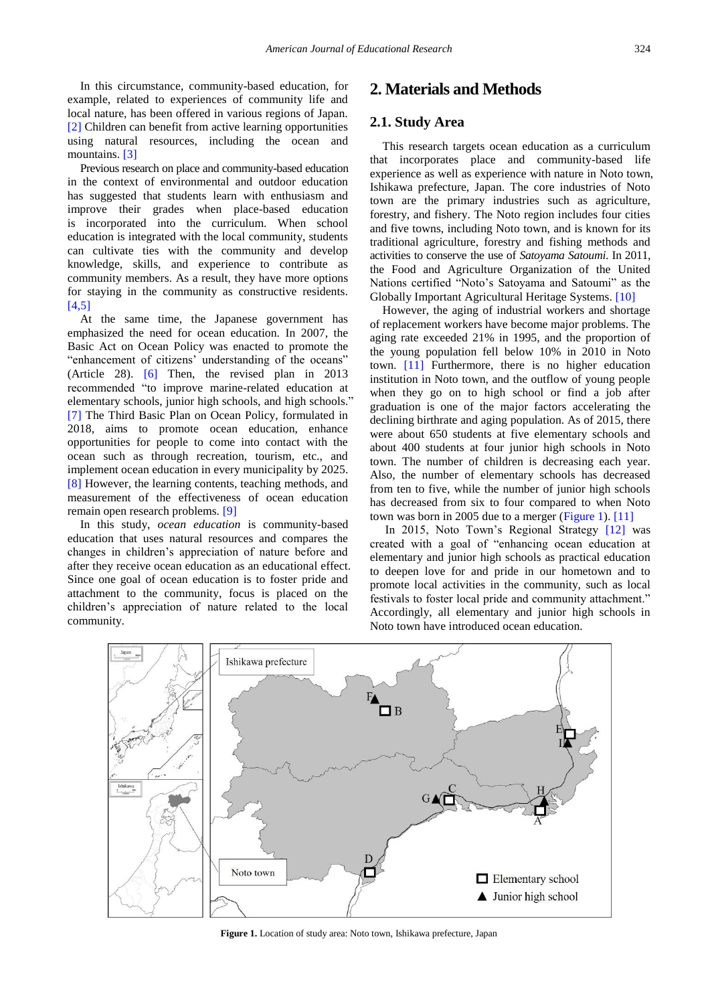In this circumstance, community-based education, for example, related to experiences of community life and local nature, has been offered in various regions of Japan. [\[2\]](#page-7-1) Children can benefit from active learning opportunities using natural resources, including the ocean and mountains. [\[3\]](#page-8-0)

Previous research on place and community-based education in the context of environmental and outdoor education has suggested that students learn with enthusiasm and improve their grades when place-based education is incorporated into the curriculum. When school education is integrated with the local community, students can cultivate ties with the community and develop knowledge, skills, and experience to contribute as community members. As a result, they have more options for staying in the community as constructive residents. [\[4,5\]](#page-8-1)

At the same time, the Japanese government has emphasized the need for ocean education. In 2007, the Basic Act on Ocean Policy was enacted to promote the "enhancement of citizens' understanding of the oceans" (Article 28). [\[6\]](#page-8-2) Then, the revised plan in 2013 recommended "to improve marine-related education at elementary schools, junior high schools, and high schools." [\[7\]](#page-8-3) The Third Basic Plan on Ocean Policy, formulated in 2018, aims to promote ocean education, enhance opportunities for people to come into contact with the ocean such as through recreation, tourism, etc., and implement ocean education in every municipality by 2025. [\[8\]](#page-8-4) However, the learning contents, teaching methods, and measurement of the effectiveness of ocean education remain open research problems. [\[9\]](#page-8-5)

In this study, *ocean education* is community-based education that uses natural resources and compares the changes in children's appreciation of nature before and after they receive ocean education as an educational effect. Since one goal of ocean education is to foster pride and attachment to the community, focus is placed on the children's appreciation of nature related to the local community.

## **2. Materials and Methods**

#### **2.1. Study Area**

This research targets ocean education as a curriculum that incorporates place and community-based life experience as well as experience with nature in Noto town, Ishikawa prefecture, Japan. The core industries of Noto town are the primary industries such as agriculture, forestry, and fishery. The Noto region includes four cities and five towns, including Noto town, and is known for its traditional agriculture, forestry and fishing methods and activities to conserve the use of *Satoyama Satoumi*. In 2011, the Food and Agriculture Organization of the United Nations certified "Noto's Satoyama and Satoumi" as the Globally Important Agricultural Heritage Systems. [\[10\]](#page-8-6)

However, the aging of industrial workers and shortage of replacement workers have become major problems. The aging rate exceeded 21% in 1995, and the proportion of the young population fell below 10% in 2010 in Noto town. [\[11\]](#page-8-7) Furthermore, there is no higher education institution in Noto town, and the outflow of young people when they go on to high school or find a job after graduation is one of the major factors accelerating the declining birthrate and aging population. As of 2015, there were about 650 students at five elementary schools and about 400 students at four junior high schools in Noto town. The number of children is decreasing each year. Also, the number of elementary schools has decreased from ten to five, while the number of junior high schools has decreased from six to four compared to when Noto town was born in 2005 due to a merger [\(Figure 1\)](#page-1-0)[. \[11\]](#page-8-7)

In 2015, Noto Town's Regional Strategy [\[12\]](#page-8-8) was created with a goal of "enhancing ocean education at elementary and junior high schools as practical education to deepen love for and pride in our hometown and to promote local activities in the community, such as local festivals to foster local pride and community attachment." Accordingly, all elementary and junior high schools in Noto town have introduced ocean education.

<span id="page-1-0"></span>

**Figure 1.** Location of study area: Noto town, Ishikawa prefecture, Japan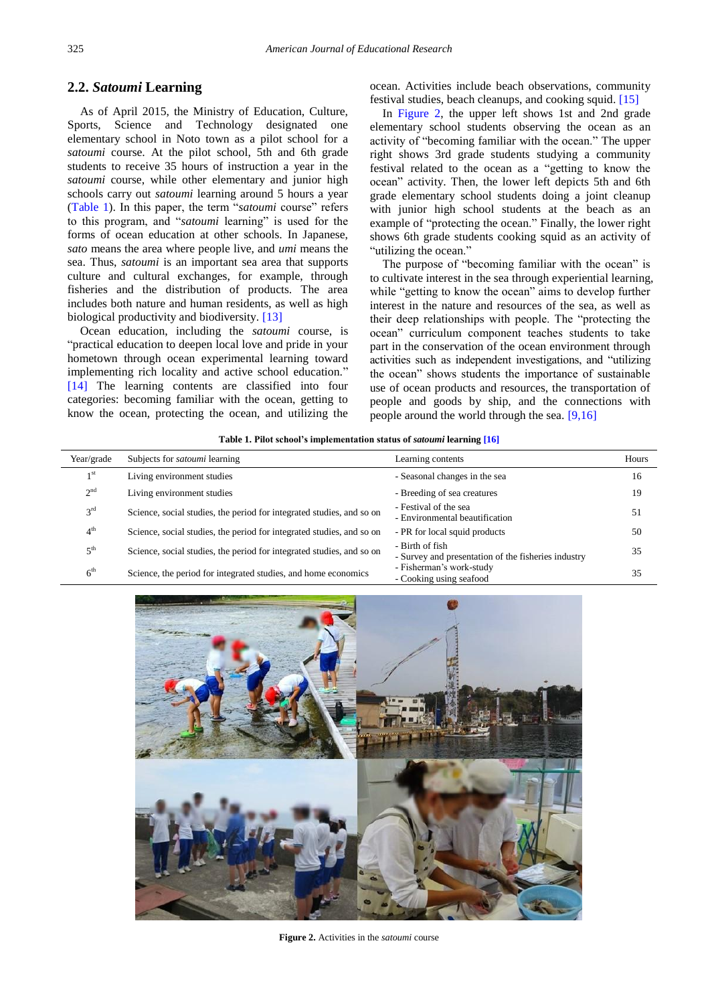#### **2.2.** *Satoumi* **Learning**

As of April 2015, the Ministry of Education, Culture, Sports, Science and Technology designated one elementary school in Noto town as a pilot school for a *satoumi* course. At the pilot school, 5th and 6th grade students to receive 35 hours of instruction a year in the *satoumi* course, while other elementary and junior high schools carry out *satoumi* learning around 5 hours a year [\(Table 1\)](#page-2-0). In this paper, the term "*satoumi* course" refers to this program, and "*satoumi* learning" is used for the forms of ocean education at other schools. In Japanese, *sato* means the area where people live, and *umi* means the sea. Thus, *satoumi* is an important sea area that supports culture and cultural exchanges, for example, through fisheries and the distribution of products. The area includes both nature and human residents, as well as high biological productivity and biodiversity. [\[13\]](#page-8-9)

Ocean education, including the *satoumi* course, is "practical education to deepen local love and pride in your hometown through ocean experimental learning toward implementing rich locality and active school education." [\[14\]](#page-8-10) The learning contents are classified into four categories: becoming familiar with the ocean, getting to know the ocean, protecting the ocean, and utilizing the ocean. Activities include beach observations, community festival studies, beach cleanups, and cooking squid. [\[15\]](#page-8-11)

In [Figure 2,](#page-2-1) the upper left shows 1st and 2nd grade elementary school students observing the ocean as an activity of "becoming familiar with the ocean." The upper right shows 3rd grade students studying a community festival related to the ocean as a "getting to know the ocean" activity. Then, the lower left depicts 5th and 6th grade elementary school students doing a joint cleanup with junior high school students at the beach as an example of "protecting the ocean." Finally, the lower right shows 6th grade students cooking squid as an activity of "utilizing the ocean."

The purpose of "becoming familiar with the ocean" is to cultivate interest in the sea through experiential learning, while "getting to know the ocean" aims to develop further interest in the nature and resources of the sea, as well as their deep relationships with people. The "protecting the ocean" curriculum component teaches students to take part in the conservation of the ocean environment through activities such as independent investigations, and "utilizing the ocean" shows students the importance of sustainable use of ocean products and resources, the transportation of people and goods by ship, and the connections with people around the world through the sea. [\[9,16\]](#page-8-5)

|  |  |  |  |  | Table 1. Pilot school's implementation status of <i>satoumi</i> learning [16] |  |
|--|--|--|--|--|-------------------------------------------------------------------------------|--|
|  |  |  |  |  |                                                                               |  |

<span id="page-2-0"></span>

| Year/grade      | Subjects for <i>satoumi</i> learning                                  | Learning contents                                                      | Hours |
|-----------------|-----------------------------------------------------------------------|------------------------------------------------------------------------|-------|
| 1 <sup>st</sup> | Living environment studies                                            | - Seasonal changes in the sea                                          | 16    |
| 2 <sup>nd</sup> | Living environment studies                                            | - Breeding of sea creatures                                            | 19    |
| 3 <sup>rd</sup> | Science, social studies, the period for integrated studies, and so on | - Festival of the sea<br>- Environmental beautification                | 51    |
| 4 <sup>th</sup> | Science, social studies, the period for integrated studies, and so on | - PR for local squid products                                          | 50    |
| 5 <sup>th</sup> | Science, social studies, the period for integrated studies, and so on | - Birth of fish<br>- Survey and presentation of the fisheries industry | 35    |
| 6 <sup>th</sup> | Science, the period for integrated studies, and home economics        | - Fisherman's work-study<br>- Cooking using seafood                    | 35    |

<span id="page-2-1"></span>

**Figure 2.** Activities in the *satoumi* course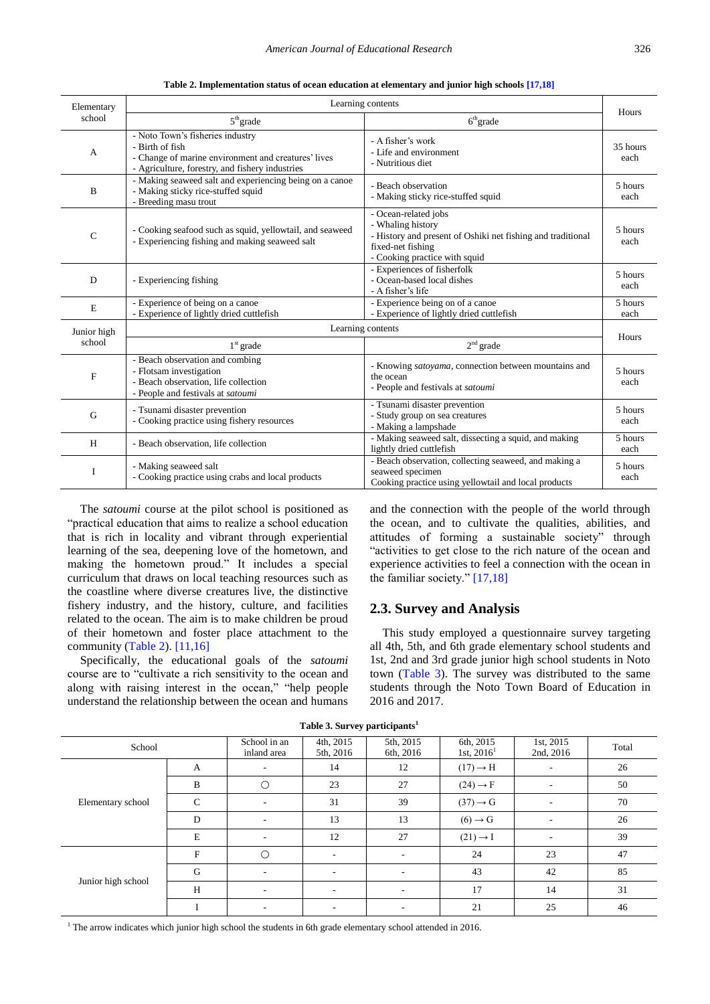**Table 2. Implementation status of ocean education at elementary and junior high school[s \[17,18\]](#page-8-13)**

<span id="page-3-0"></span>

| Elementary                | Learning contents                                                                                                                                             |                                                                                                                                                                |                              |  |  |  |  |  |
|---------------------------|---------------------------------------------------------------------------------------------------------------------------------------------------------------|----------------------------------------------------------------------------------------------------------------------------------------------------------------|------------------------------|--|--|--|--|--|
| school                    | $5th$ grade                                                                                                                                                   | $6th$ grade                                                                                                                                                    | Hours                        |  |  |  |  |  |
| A                         | - Noto Town's fisheries industry<br>- Birth of fish<br>- Change of marine environment and creatures' lives<br>- Agriculture, forestry, and fishery industries | - A fisher's work<br>- Life and environment<br>- Nutritious diet                                                                                               | 35 hours<br>each             |  |  |  |  |  |
| B                         | - Making seaweed salt and experiencing being on a canoe<br>- Making sticky rice-stuffed squid<br>- Breeding masu trout                                        | - Beach observation<br>- Making sticky rice-stuffed squid                                                                                                      | 5 hours<br>each              |  |  |  |  |  |
| $\mathcal{C}$             | - Cooking seafood such as squid, yellowtail, and seaweed<br>- Experiencing fishing and making seaweed salt                                                    | - Ocean-related jobs<br>- Whaling history<br>- History and present of Oshiki net fishing and traditional<br>fixed-net fishing<br>- Cooking practice with squid | 5 hours<br>each              |  |  |  |  |  |
| D                         | - Experiencing fishing                                                                                                                                        | - Experiences of fisherfolk<br>- Ocean-based local dishes<br>- A fisher's life                                                                                 | 5 hours<br>each              |  |  |  |  |  |
| E                         | - Experience of being on a canoe<br>- Experience of lightly dried cuttlefish                                                                                  | - Experience being on of a canoe<br>- Experience of lightly dried cuttlefish                                                                                   | $\overline{5}$ hours<br>each |  |  |  |  |  |
| Junior high               |                                                                                                                                                               | Learning contents                                                                                                                                              |                              |  |  |  |  |  |
| school                    | $1st$ grade                                                                                                                                                   | $2nd$ grade                                                                                                                                                    | Hours                        |  |  |  |  |  |
| $\boldsymbol{\mathrm{F}}$ | - Beach observation and combing<br>- Flotsam investigation<br>- Beach observation, life collection<br>- People and festivals at satoumi                       | - Knowing satoyama, connection between mountains and<br>the ocean<br>- People and festivals at satoumi                                                         | 5 hours<br>each              |  |  |  |  |  |
| G                         | - Tsunami disaster prevention<br>- Cooking practice using fishery resources                                                                                   | - Tsunami disaster prevention<br>- Study group on sea creatures<br>- Making a lampshade                                                                        | 5 hours<br>each              |  |  |  |  |  |
| H                         | - Beach observation, life collection                                                                                                                          | - Making seaweed salt, dissecting a squid, and making<br>lightly dried cuttlefish                                                                              | 5 hours<br>each              |  |  |  |  |  |
| I                         | - Making seaweed salt<br>- Cooking practice using crabs and local products                                                                                    | - Beach observation, collecting seaweed, and making a<br>seaweed specimen<br>Cooking practice using yellowtail and local products                              | 5 hours<br>each              |  |  |  |  |  |

The *satoumi* course at the pilot school is positioned as "practical education that aims to realize a school education that is rich in locality and vibrant through experiential learning of the sea, deepening love of the hometown, and making the hometown proud." It includes a special curriculum that draws on local teaching resources such as the coastline where diverse creatures live, the distinctive fishery industry, and the history, culture, and facilities related to the ocean. The aim is to make children be proud of their hometown and foster place attachment to the community [\(Table 2\)](#page-3-0)[. \[11,16\]](#page-8-7)

Specifically, the educational goals of the *satoumi* course are to "cultivate a rich sensitivity to the ocean and along with raising interest in the ocean," "help people understand the relationship between the ocean and humans and the connection with the people of the world through the ocean, and to cultivate the qualities, abilities, and attitudes of forming a sustainable society" through "activities to get close to the rich nature of the ocean and experience activities to feel a connection with the ocean in the familiar society." [\[17,18\]](#page-8-13)

#### **2.3. Survey and Analysis**

This study employed a questionnaire survey targeting all 4th, 5th, and 6th grade elementary school students and 1st, 2nd and 3rd grade junior high school students in Noto town [\(Table 3\)](#page-3-1). The survey was distributed to the same students through the Noto Town Board of Education in 2016 and 2017.

<span id="page-3-1"></span>

| School             |              | School in an<br>inland area | 4th, 2015<br>5th, 2016   | 5th, 2015<br>6th, 2016   | 6th, 2015<br>1st, $2016^1$ | 1st, 2015<br>2nd, 2016   | Total |
|--------------------|--------------|-----------------------------|--------------------------|--------------------------|----------------------------|--------------------------|-------|
|                    | А            |                             | 14                       | 12                       | $(17) \rightarrow H$       |                          | 26    |
|                    | B            | ◯                           | 23                       | 27                       | $(24) \rightarrow F$       | $\overline{\phantom{a}}$ | 50    |
| Elementary school  | $\mathsf{C}$ |                             | 31                       | 39                       | $(37) \rightarrow G$       | $\overline{\phantom{a}}$ | 70    |
|                    | D            | $\overline{\phantom{a}}$    | 13                       | 13                       | $(6) \rightarrow G$        | $\overline{\phantom{a}}$ | 26    |
|                    | $\mathbf E$  |                             | 12                       | 27                       | $(21) \rightarrow I$       | ٠                        | 39    |
|                    | F            |                             | $\sim$                   |                          | 24                         | 23                       | 47    |
|                    | G            |                             | $\overline{\phantom{a}}$ | ٠                        | 43                         | 42                       | 85    |
| Junior high school | H            | $\overline{\phantom{a}}$    | $\sim$                   | $\overline{\phantom{a}}$ | 17                         | 14                       | 31    |
|                    |              | ٠                           | ٠.                       | ٠                        | 21                         | 25                       | 46    |

**Table 3. Survey participants<sup>1</sup>**

<sup>1</sup> The arrow indicates which junior high school the students in 6th grade elementary school attended in 2016.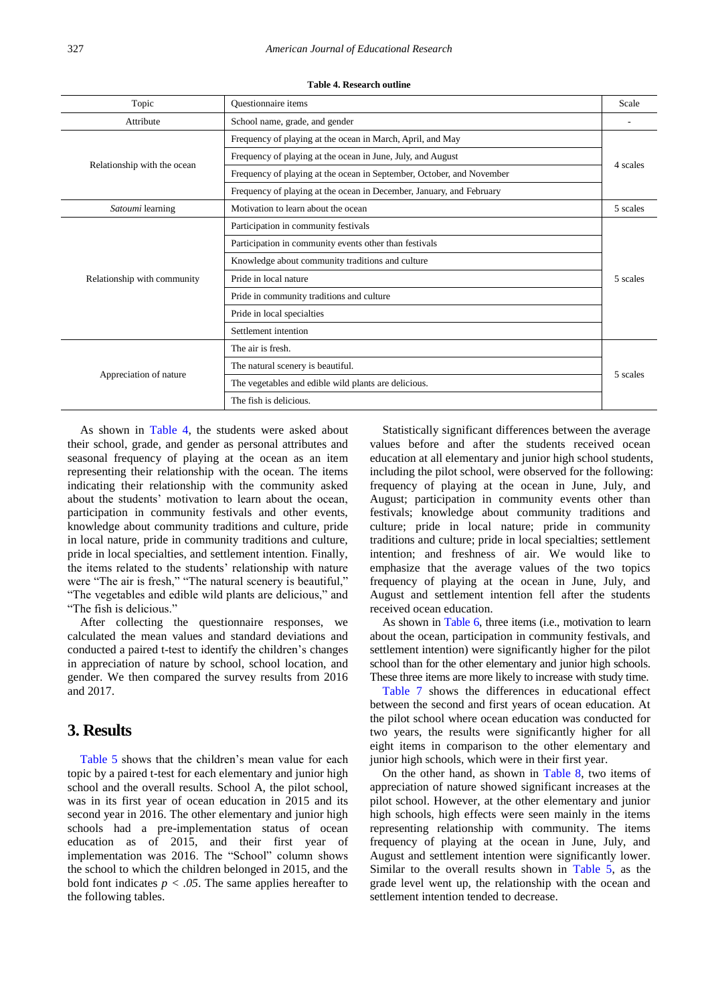<span id="page-4-0"></span>

| Topic                       | Questionnaire items                                                   |          |  |  |  |  |
|-----------------------------|-----------------------------------------------------------------------|----------|--|--|--|--|
| Attribute                   | School name, grade, and gender                                        |          |  |  |  |  |
|                             | Frequency of playing at the ocean in March, April, and May            |          |  |  |  |  |
| Relationship with the ocean | Frequency of playing at the ocean in June, July, and August           | 4 scales |  |  |  |  |
|                             | Frequency of playing at the ocean in September, October, and November |          |  |  |  |  |
|                             | Frequency of playing at the ocean in December, January, and February  |          |  |  |  |  |
| Satoumi learning            | Motivation to learn about the ocean                                   | 5 scales |  |  |  |  |
|                             | Participation in community festivals                                  | 5 scales |  |  |  |  |
|                             | Participation in community events other than festivals                |          |  |  |  |  |
|                             | Knowledge about community traditions and culture                      |          |  |  |  |  |
| Relationship with community | Pride in local nature                                                 |          |  |  |  |  |
|                             | Pride in community traditions and culture                             |          |  |  |  |  |
|                             | Pride in local specialties                                            |          |  |  |  |  |
|                             | Settlement intention                                                  |          |  |  |  |  |
|                             | The air is fresh.                                                     |          |  |  |  |  |
|                             | The natural scenery is beautiful.                                     |          |  |  |  |  |
| Appreciation of nature      | The vegetables and edible wild plants are delicious.                  |          |  |  |  |  |
|                             | The fish is delicious.                                                |          |  |  |  |  |

**Table 4. Research outline**

As shown in [Table 4,](#page-4-0) the students were asked about their school, grade, and gender as personal attributes and seasonal frequency of playing at the ocean as an item representing their relationship with the ocean. The items indicating their relationship with the community asked about the students' motivation to learn about the ocean, participation in community festivals and other events, knowledge about community traditions and culture, pride in local nature, pride in community traditions and culture, pride in local specialties, and settlement intention. Finally, the items related to the students' relationship with nature were "The air is fresh," "The natural scenery is beautiful," "The vegetables and edible wild plants are delicious," and "The fish is delicious."

After collecting the questionnaire responses, we calculated the mean values and standard deviations and conducted a paired t-test to identify the children's changes in appreciation of nature by school, school location, and gender. We then compared the survey results from 2016 and 2017.

### **3. Results**

[Table 5](#page-5-0) shows that the children's mean value for each topic by a paired t-test for each elementary and junior high school and the overall results. School A, the pilot school, was in its first year of ocean education in 2015 and its second year in 2016. The other elementary and junior high schools had a pre-implementation status of ocean education as of 2015, and their first year of implementation was 2016. The "School" column shows the school to which the children belonged in 2015, and the bold font indicates  $p < .05$ . The same applies hereafter to the following tables.

Statistically significant differences between the average values before and after the students received ocean education at all elementary and junior high school students, including the pilot school, were observed for the following: frequency of playing at the ocean in June, July, and August; participation in community events other than festivals; knowledge about community traditions and culture; pride in local nature; pride in community traditions and culture; pride in local specialties; settlement intention; and freshness of air. We would like to emphasize that the average values of the two topics frequency of playing at the ocean in June, July, and August and settlement intention fell after the students received ocean education.

As shown in [Table 6,](#page-5-1) three items (i.e., motivation to learn about the ocean, participation in community festivals, and settlement intention) were significantly higher for the pilot school than for the other elementary and junior high schools. These three items are more likely to increase with study time.

[Table 7](#page-6-0) shows the differences in educational effect between the second and first years of ocean education. At the pilot school where ocean education was conducted for two years, the results were significantly higher for all eight items in comparison to the other elementary and junior high schools, which were in their first year.

On the other hand, as shown in [Table 8,](#page-6-1) two items of appreciation of nature showed significant increases at the pilot school. However, at the other elementary and junior high schools, high effects were seen mainly in the items representing relationship with community. The items frequency of playing at the ocean in June, July, and August and settlement intention were significantly lower. Similar to the overall results shown in [Table 5,](#page-5-0) as the grade level went up, the relationship with the ocean and settlement intention tended to decrease.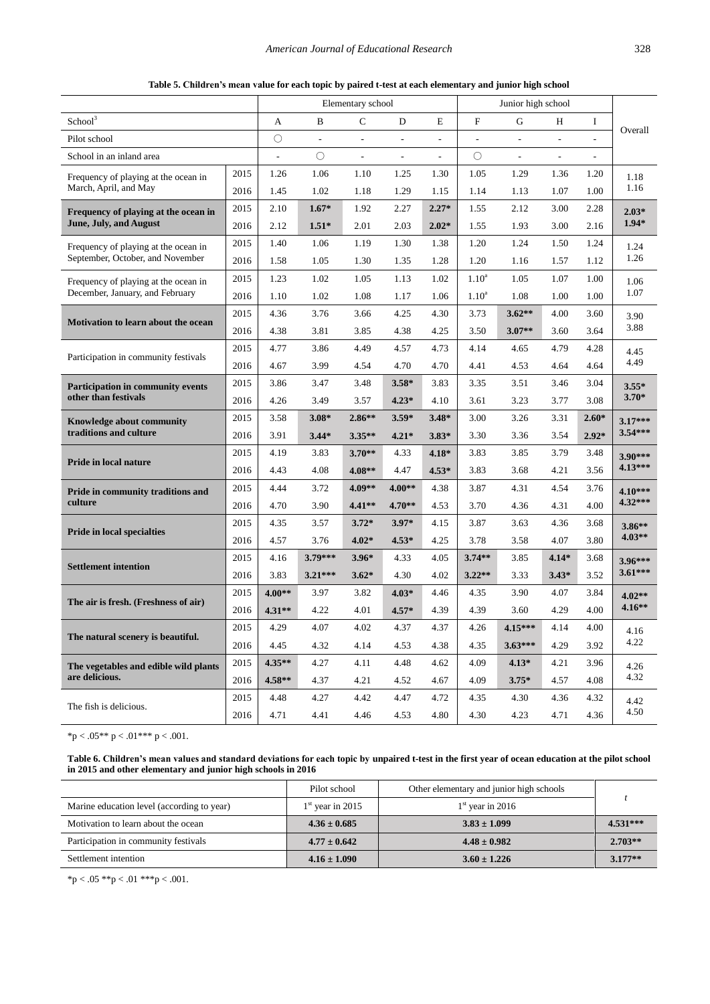**Table 5. Children's mean value for each topic by paired t-test at each elementary and junior high school**

<span id="page-5-0"></span>

|                                          |      | Elementary school |                          |                          |                          | Junior high school       |                          |                          |                          |                          |                        |
|------------------------------------------|------|-------------------|--------------------------|--------------------------|--------------------------|--------------------------|--------------------------|--------------------------|--------------------------|--------------------------|------------------------|
| School <sup>3</sup>                      |      | A                 | B                        | $\mathsf{C}$             | D                        | E                        | $\mathbf F$              | G                        | Н                        | I                        | Overall                |
| Pilot school                             |      | $\bigcirc$        | $\overline{\phantom{a}}$ | $\overline{\phantom{a}}$ | $\overline{\phantom{a}}$ | $\overline{\phantom{a}}$ | $\overline{\phantom{a}}$ | $\overline{\phantom{a}}$ | $\overline{\phantom{a}}$ | $\overline{\phantom{a}}$ |                        |
| School in an inland area                 |      | $\overline{a}$    | $\circ$                  |                          | $\overline{\phantom{a}}$ | ÷,                       | $\circlearrowright$      | L.                       | $\overline{\phantom{a}}$ |                          |                        |
| Frequency of playing at the ocean in     | 2015 | 1.26              | 1.06                     | 1.10                     | 1.25                     | 1.30                     | 1.05                     | 1.29                     | 1.36                     | 1.20                     | 1.18                   |
| March, April, and May                    | 2016 | 1.45              | 1.02                     | 1.18                     | 1.29                     | 1.15                     | 1.14                     | 1.13                     | 1.07                     | 1.00                     | 1.16                   |
| Frequency of playing at the ocean in     | 2015 | 2.10              | $1.67*$                  | 1.92                     | 2.27                     | $2.27*$                  | 1.55                     | 2.12                     | 3.00                     | 2.28                     | $2.03*$                |
| June, July, and August                   | 2016 | 2.12              | $1.51*$                  | 2.01                     | 2.03                     | $2.02*$                  | 1.55                     | 1.93                     | 3.00                     | 2.16                     | $1.94*$                |
| Frequency of playing at the ocean in     | 2015 | 1.40              | 1.06                     | 1.19                     | 1.30                     | 1.38                     | 1.20                     | 1.24                     | 1.50                     | 1.24                     | 1.24                   |
| September, October, and November         | 2016 | 1.58              | 1.05                     | 1.30                     | 1.35                     | 1.28                     | 1.20                     | 1.16                     | 1.57                     | 1.12                     | 1.26                   |
| Frequency of playing at the ocean in     | 2015 | 1.23              | 1.02                     | 1.05                     | 1.13                     | 1.02                     | 1.10 <sup>a</sup>        | 1.05                     | 1.07                     | 1.00                     | 1.06                   |
| December, January, and February          | 2016 | 1.10              | 1.02                     | 1.08                     | 1.17                     | 1.06                     | $1.10^{a}$               | 1.08                     | 1.00                     | 1.00                     | 1.07                   |
|                                          | 2015 | 4.36              | 3.76                     | 3.66                     | 4.25                     | 4.30                     | 3.73                     | $3.62**$                 | 4.00                     | 3.60                     | 3.90                   |
| Motivation to learn about the ocean      | 2016 | 4.38              | 3.81                     | 3.85                     | 4.38                     | 4.25                     | 3.50                     | $3.07**$                 | 3.60                     | 3.64                     | 3.88                   |
|                                          | 2015 | 4.77              | 3.86                     | 4.49                     | 4.57                     | 4.73                     | 4.14                     | 4.65                     | 4.79                     | 4.28                     | 4.45<br>4.49           |
| Participation in community festivals     | 2016 | 4.67              | 3.99                     | 4.54                     | 4.70                     | 4.70                     | 4.41                     | 4.53                     | 4.64                     | 4.64                     |                        |
| <b>Participation in community events</b> | 2015 | 3.86              | 3.47                     | 3.48                     | $3.58*$                  | 3.83                     | 3.35                     | 3.51                     | 3.46                     | 3.04                     | $3.55*$                |
| other than festivals                     | 2016 | 4.26              | 3.49                     | 3.57                     | $4.23*$                  | 4.10                     | 3.61                     | 3.23                     | 3.77                     | 3.08                     | $3.70*$                |
| Knowledge about community                | 2015 | 3.58              | $3.08*$                  | $2.86**$                 | $3.59*$                  | $3.48*$                  | 3.00                     | 3.26                     | 3.31                     | $2.60*$                  | $3.17***$<br>$3.54***$ |
| traditions and culture                   | 2016 | 3.91              | $3.44*$                  | $3.35***$                | $4.21*$                  | $3.83*$                  | 3.30                     | 3.36                     | 3.54                     | $2.92*$                  |                        |
|                                          | 2015 | 4.19              | 3.83                     | $3.70**$                 | 4.33                     | $4.18*$                  | 3.83                     | 3.85                     | 3.79                     | 3.48                     | 3.90***<br>$4.13***$   |
| Pride in local nature                    | 2016 | 4.43              | 4.08                     | $4.08**$                 | 4.47                     | $4.53*$                  | 3.83                     | 3.68                     | 4.21                     | 3.56                     |                        |
| Pride in community traditions and        | 2015 | 4.44              | 3.72                     | 4.09**                   | $4.00**$                 | 4.38                     | 3.87                     | 4.31                     | 4.54                     | 3.76                     | $4.10***$              |
| culture                                  | 2016 | 4.70              | 3.90                     | $4.41**$                 | $4.70**$                 | 4.53                     | 3.70                     | 4.36                     | 4.31                     | 4.00                     | 4.32***                |
|                                          | 2015 | 4.35              | 3.57                     | $3.72*$                  | $3.97*$                  | 4.15                     | 3.87                     | 3.63                     | 4.36                     | 3.68                     | $3.86**$               |
| <b>Pride in local specialties</b>        | 2016 | 4.57              | 3.76                     | $4.02*$                  | $4.53*$                  | 4.25                     | 3.78                     | 3.58                     | 4.07                     | 3.80                     | $4.03**$               |
|                                          | 2015 | 4.16              | 3.79***                  | $3.96*$                  | 4.33                     | 4.05                     | $3.74**$                 | 3.85                     | $4.14*$                  | 3.68                     | 3.96***                |
| <b>Settlement intention</b>              | 2016 | 3.83              | $3.21***$                | $3.62*$                  | 4.30                     | 4.02                     | $3.22**$                 | 3.33                     | $3.43*$                  | 3.52                     | $3.61***$              |
|                                          | 2015 | $4.00**$          | 3.97                     | 3.82                     | $4.03*$                  | 4.46                     | 4.35                     | 3.90                     | 4.07                     | 3.84                     | $4.02**$               |
| The air is fresh. (Freshness of air)     | 2016 | $4.31**$          | 4.22                     | 4.01                     | $4.57*$                  | 4.39                     | 4.39                     | 3.60                     | 4.29                     | 4.00                     | $4.16**$               |
|                                          | 2015 | 4.29              | 4.07                     | 4.02                     | 4.37                     | 4.37                     | 4.26                     | $4.15***$                | 4.14                     | 4.00                     | 4.16                   |
| The natural scenery is beautiful.        | 2016 | 4.45              | 4.32                     | 4.14                     | 4.53                     | 4.38                     | 4.35                     | $3.63***$                | 4.29                     | 3.92                     | 4.22                   |
| The vegetables and edible wild plants    | 2015 | 4.35**            | 4.27                     | 4.11                     | 4.48                     | 4.62                     | 4.09                     | $4.13*$                  | 4.21                     | 3.96                     | 4.26                   |
| are delicious.                           | 2016 | $4.58**$          | 4.37                     | 4.21                     | 4.52                     | 4.67                     | 4.09                     | $3.75*$                  | 4.57                     | 4.08                     | 4.32                   |
|                                          | 2015 | 4.48              | 4.27                     | 4.42                     | 4.47                     | 4.72                     | 4.35                     | 4.30                     | 4.36                     | 4.32                     | 4.42                   |
| The fish is delicious.                   | 2016 | 4.71              | 4.41                     | 4.46                     | 4.53                     | 4.80                     | 4.30                     | 4.23                     | 4.71                     | 4.36                     | 4.50                   |

 ${\rm sp} < .05 {\rm \texttt{**}}$ p $< .01 {\rm \texttt{***}}$ p $< .001.$ 

**Table 6. Children's mean values and standard deviations for each topic by unpaired t-test in the first year of ocean education at the pilot school in 2015 and other elementary and junior high schools in 2016**

<span id="page-5-1"></span>

|                                            | Pilot school       | Other elementary and junior high schools |            |  |
|--------------------------------------------|--------------------|------------------------------------------|------------|--|
| Marine education level (according to year) | $1st$ year in 2015 | $1st$ year in 2016                       |            |  |
| Motivation to learn about the ocean        | $4.36 \pm 0.685$   | $3.83 \pm 1.099$                         | $4.531***$ |  |
| Participation in community festivals       | $4.77 \pm 0.642$   | $4.48 \pm 0.982$                         | $2.703**$  |  |
| Settlement intention                       | $4.16 \pm 1.090$   | $3.60 \pm 1.226$                         | $3.177**$  |  |

 $*p < .05 **p < .01 **p < .001$ .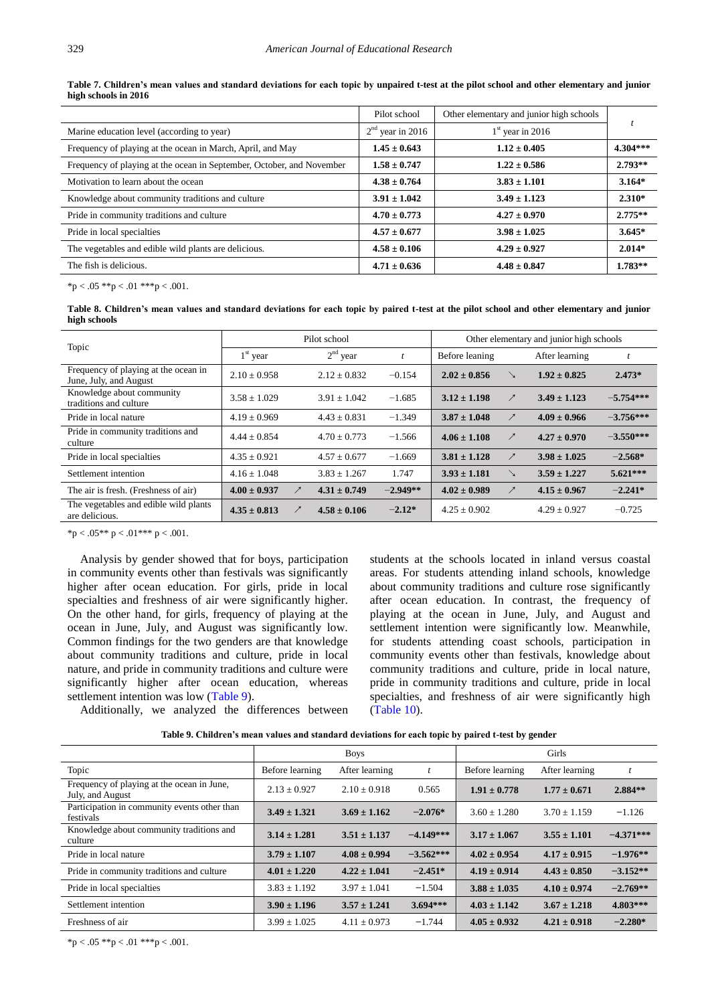<span id="page-6-0"></span>

|                                                                       | Pilot school       | Other elementary and junior high schools |            |
|-----------------------------------------------------------------------|--------------------|------------------------------------------|------------|
| Marine education level (according to year)                            | $2nd$ year in 2016 | $1st$ year in 2016                       |            |
| Frequency of playing at the ocean in March, April, and May            | $1.45 \pm 0.643$   | $1.12 \pm 0.405$                         | $4.304***$ |
| Frequency of playing at the ocean in September, October, and November | $1.58 \pm 0.747$   | $1.22 \pm 0.586$                         | $2.793**$  |
| Motivation to learn about the ocean                                   | $4.38 \pm 0.764$   | $3.83 \pm 1.101$                         | $3.164*$   |
| Knowledge about community traditions and culture                      | $3.91 \pm 1.042$   | $3.49 \pm 1.123$                         | $2.310*$   |
| Pride in community traditions and culture                             | $4.70 \pm 0.773$   | $4.27 \pm 0.970$                         | $2.775**$  |
| Pride in local specialties                                            | $4.57 \pm 0.677$   | $3.98 \pm 1.025$                         | $3.645*$   |
| The vegetables and edible wild plants are delicious.                  | $4.58 \pm 0.106$   | $4.29 \pm 0.927$                         | $2.014*$   |
| The fish is delicious.                                                | $4.71 \pm 0.636$   | $4.48 \pm 0.847$                         | $1.783**$  |

**Table 7. Children's mean values and standard deviations for each topic by unpaired t-test at the pilot school and other elementary and junior high schools in 2016**

 $*p < .05 **p < .01 **pp < .001$ .

**Table 8. Children's mean values and standard deviations for each topic by paired t-test at the pilot school and other elementary and junior high schools**

<span id="page-6-1"></span>

|                                                                |                  | Pilot school     |            | Other elementary and junior high schools |               |                  |             |
|----------------------------------------------------------------|------------------|------------------|------------|------------------------------------------|---------------|------------------|-------------|
| Topic                                                          | $1st$ year       | $2nd$ year       |            | Before leaning                           |               | After learning   |             |
| Frequency of playing at the ocean in<br>June, July, and August | $2.10 \pm 0.958$ | $2.12 \pm 0.832$ | $-0.154$   | $2.02 \pm 0.856$                         |               | $1.92 \pm 0.825$ | $2.473*$    |
| Knowledge about community<br>traditions and culture            | $3.58 \pm 1.029$ | $3.91 + 1.042$   | $-1.685$   | $3.12 \pm 1.198$                         | ↗             | $3.49 \pm 1.123$ | $-5.754***$ |
| Pride in local nature                                          | $4.19 \pm 0.969$ | $4.43 \pm 0.831$ | $-1.349$   | $3.87 \pm 1.048$                         | ↗             | $4.09 \pm 0.966$ | $-3.756***$ |
| Pride in community traditions and<br>culture                   | $4.44 \pm 0.854$ | $4.70 + 0.773$   | $-1.566$   | $4.06 \pm 1.108$                         | ↗             | $4.27 \pm 0.970$ | $-3.550***$ |
| Pride in local specialties                                     | $4.35 \pm 0.921$ | $4.57 + 0.677$   | $-1.669$   | $3.81 \pm 1.128$                         | $\mathcal{F}$ | $3.98 \pm 1.025$ | $-2.568*$   |
| Settlement intention                                           | $4.16 + 1.048$   | $3.83 + 1.267$   | 1.747      | $3.93 \pm 1.181$                         | $\searrow$    | $3.59 \pm 1.227$ | $5.621***$  |
| The air is fresh. (Freshness of air)                           | $4.00 \pm 0.937$ | $4.31 \pm 0.749$ | $-2.949**$ | $4.02 \pm 0.989$                         | $\mathcal{L}$ | $4.15 \pm 0.967$ | $-2.241*$   |
| The vegetables and edible wild plants<br>are delicious.        | $4.35 \pm 0.813$ | $4.58 \pm 0.106$ | $-2.12*$   | $4.25 \pm 0.902$                         |               | $4.29 \pm 0.927$ | $-0.725$    |

\*p < .05\*\* p < .01\*\*\* p < .001.

Analysis by gender showed that for boys, participation in community events other than festivals was significantly higher after ocean education. For girls, pride in local specialties and freshness of air were significantly higher. On the other hand, for girls, frequency of playing at the ocean in June, July, and August was significantly low. Common findings for the two genders are that knowledge about community traditions and culture, pride in local nature, and pride in community traditions and culture were significantly higher after ocean education, whereas settlement intention was low [\(Table 9\)](#page-6-2).

students at the schools located in inland versus coastal areas. For students attending inland schools, knowledge about community traditions and culture rose significantly after ocean education. In contrast, the frequency of playing at the ocean in June, July, and August and settlement intention were significantly low. Meanwhile, for students attending coast schools, participation in community events other than festivals, knowledge about community traditions and culture, pride in local nature, pride in community traditions and culture, pride in local specialties, and freshness of air were significantly high [\(Table 10\)](#page-7-2).

Additionally, we analyzed the differences between

**Table 9. Children's mean values and standard deviations for each topic by paired t-test by gender**

<span id="page-6-2"></span>

|                                                                |                  | <b>Boys</b>      |             |                  | Girls            |             |
|----------------------------------------------------------------|------------------|------------------|-------------|------------------|------------------|-------------|
| Topic                                                          | Before learning  | After learning   | t           | Before learning  | After learning   | t           |
| Frequency of playing at the ocean in June,<br>July, and August | $2.13 \pm 0.927$ | $2.10 + 0.918$   | 0.565       | $1.91 \pm 0.778$ | $1.77 \pm 0.671$ | $2.884**$   |
| Participation in community events other than<br>festivals      | $3.49 \pm 1.321$ | $3.69 \pm 1.162$ | $-2.076*$   | $3.60 \pm 1.280$ | $3.70 + 1.159$   | $-1.126$    |
| Knowledge about community traditions and<br>culture            | $3.14 \pm 1.281$ | $3.51 \pm 1.137$ | $-4.149***$ | $3.17 \pm 1.067$ | $3.55 \pm 1.101$ | $-4.371***$ |
| Pride in local nature                                          | $3.79 \pm 1.107$ | $4.08 \pm 0.994$ | $-3.562***$ | $4.02 \pm 0.954$ | $4.17 \pm 0.915$ | $-1.976**$  |
| Pride in community traditions and culture                      | $4.01 \pm 1.220$ | $4.22 \pm 1.041$ | $-2.451*$   | $4.19 \pm 0.914$ | $4.43 \pm 0.850$ | $-3.152**$  |
| Pride in local specialties                                     | $3.83 \pm 1.192$ | $3.97 \pm 1.041$ | $-1.504$    | $3.88 \pm 1.035$ | $4.10 \pm 0.974$ | $-2.769**$  |
| Settlement intention                                           | $3.90 \pm 1.196$ | $3.57 \pm 1.241$ | $3.694***$  | $4.03 \pm 1.142$ | $3.67 \pm 1.218$ | $4.803***$  |
| Freshness of air                                               | $3.99 \pm 1.025$ | $4.11 \pm 0.973$ | $-1.744$    | $4.05 \pm 0.932$ | $4.21 \pm 0.918$ | $-2.280*$   |

 $*p < .05 **p < .01 **pp < .001$ .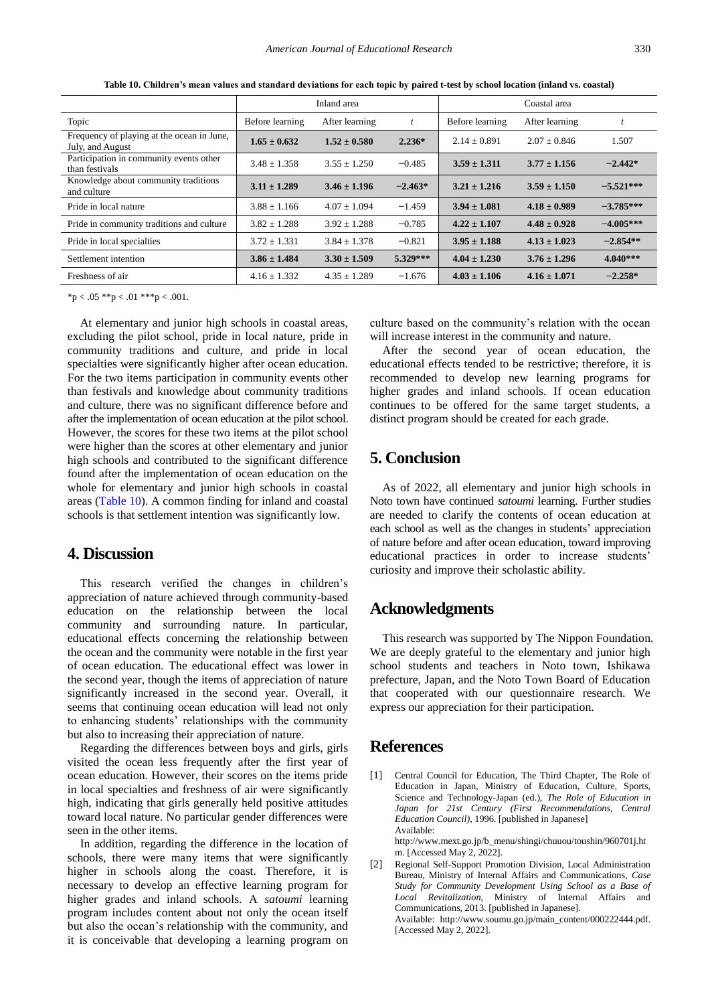<span id="page-7-2"></span>

|                                                                |                  | Inland area      |           | Coastal area     |                  |             |  |
|----------------------------------------------------------------|------------------|------------------|-----------|------------------|------------------|-------------|--|
| Topic                                                          | Before learning  | After learning   |           | Before learning  | After learning   |             |  |
| Frequency of playing at the ocean in June,<br>July, and August | $1.65 \pm 0.632$ | $1.52 \pm 0.580$ | $2.236*$  | $2.14 + 0.891$   | $2.07 + 0.846$   | 1.507       |  |
| Participation in community events other<br>than festivals      | $3.48 \pm 1.358$ | $3.55 \pm 1.250$ | $-0.485$  | $3.59 \pm 1.311$ | $3.77 \pm 1.156$ | $-2.442*$   |  |
| Knowledge about community traditions<br>and culture            | $3.11 \pm 1.289$ | $3.46 \pm 1.196$ | $-2.463*$ | $3.21 \pm 1.216$ | $3.59 \pm 1.150$ | $-5.521***$ |  |
| Pride in local nature                                          | $3.88 \pm 1.166$ | $4.07 + 1.094$   | $-1.459$  | $3.94 \pm 1.081$ | $4.18 \pm 0.989$ | $-3.785***$ |  |
| Pride in community traditions and culture                      | $3.82 \pm 1.288$ | $3.92 \pm 1.288$ | $-0.785$  | $4.22 \pm 1.107$ | $4.48 \pm 0.928$ | $-4.005***$ |  |
| Pride in local specialties                                     | $3.72 \pm 1.331$ | $3.84 \pm 1.378$ | $-0.821$  | $3.95 \pm 1.188$ | $4.13 \pm 1.023$ | $-2.854**$  |  |
| Settlement intention                                           | $3.86 \pm 1.484$ | $3.30 \pm 1.509$ | 5.329***  | $4.04 \pm 1.230$ | $3.76 \pm 1.296$ | $4.040***$  |  |
| Freshness of air                                               | $4.16 \pm 1.332$ | $4.35 + 1.289$   | $-1.676$  | $4.03 \pm 1.106$ | $4.16 \pm 1.071$ | $-2.258*$   |  |

**Table 10. Children's mean values and standard deviations for each topic by paired t-test by school location (inland vs. coastal)**

 $*p < .05 **p < .01 **p < .001$ .

At elementary and junior high schools in coastal areas, excluding the pilot school, pride in local nature, pride in community traditions and culture, and pride in local specialties were significantly higher after ocean education. For the two items participation in community events other than festivals and knowledge about community traditions and culture, there was no significant difference before and after the implementation of ocean education at the pilot school. However, the scores for these two items at the pilot school were higher than the scores at other elementary and junior high schools and contributed to the significant difference found after the implementation of ocean education on the whole for elementary and junior high schools in coastal areas [\(Table 10\)](#page-7-2). A common finding for inland and coastal schools is that settlement intention was significantly low.

## **4. Discussion**

This research verified the changes in children's appreciation of nature achieved through community-based education on the relationship between the local community and surrounding nature. In particular, educational effects concerning the relationship between the ocean and the community were notable in the first year of ocean education. The educational effect was lower in the second year, though the items of appreciation of nature significantly increased in the second year. Overall, it seems that continuing ocean education will lead not only to enhancing students' relationships with the community but also to increasing their appreciation of nature.

Regarding the differences between boys and girls, girls visited the ocean less frequently after the first year of ocean education. However, their scores on the items pride in local specialties and freshness of air were significantly high, indicating that girls generally held positive attitudes toward local nature. No particular gender differences were seen in the other items.

In addition, regarding the difference in the location of schools, there were many items that were significantly higher in schools along the coast. Therefore, it is necessary to develop an effective learning program for higher grades and inland schools. A *satoumi* learning program includes content about not only the ocean itself but also the ocean's relationship with the community, and it is conceivable that developing a learning program on culture based on the community's relation with the ocean will increase interest in the community and nature.

After the second year of ocean education, the educational effects tended to be restrictive; therefore, it is recommended to develop new learning programs for higher grades and inland schools. If ocean education continues to be offered for the same target students, a distinct program should be created for each grade.

## **5. Conclusion**

As of 2022, all elementary and junior high schools in Noto town have continued *satoumi* learning. Further studies are needed to clarify the contents of ocean education at each school as well as the changes in students' appreciation of nature before and after ocean education, toward improving educational practices in order to increase students' curiosity and improve their scholastic ability.

## **Acknowledgments**

This research was supported by The Nippon Foundation. We are deeply grateful to the elementary and junior high school students and teachers in Noto town, Ishikawa prefecture, Japan, and the Noto Town Board of Education that cooperated with our questionnaire research. We express our appreciation for their participation.

#### **References**

<span id="page-7-0"></span>[1] Central Council for Education, The Third Chapter, The Role of Education in Japan, Ministry of Education, Culture, Sports, Science and Technology-Japan (ed.), *The Role of Education in Japan for 21st Century (First Recommendations, Central Education Council)*, 1996. [published in Japanese] Available: http://www.mext.go.jp/b\_menu/shingi/chuuou/toushin/960701j.ht

m. [Accessed May 2, 2022].

<span id="page-7-1"></span>[2] Regional Self-Support Promotion Division, Local Administration Bureau, Ministry of Internal Affairs and Communications, *Case Study for Community Development Using School as a Base of Local Revitalization*, Ministry of Internal Affairs and Communications, 2013. [published in Japanese]. Available: http://www.soumu.go.jp/main\_content/000222444.pdf. [Accessed May 2, 2022].